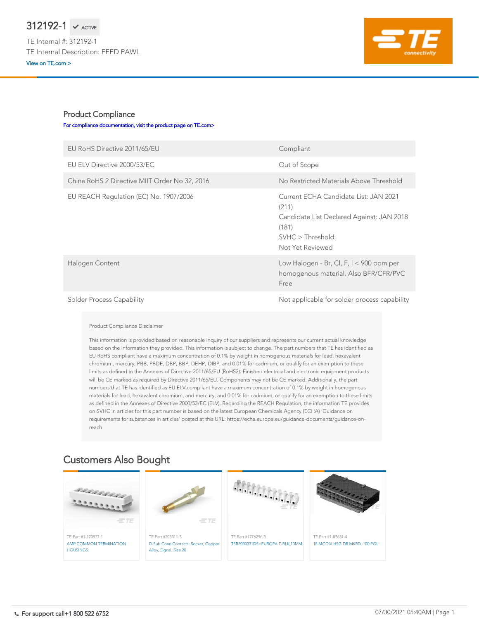## Product Compliance

## [For compliance documentation, visit the product page on TE.com>](https://www.te.com/usa-en/product-312192-1.html)

| EU RoHS Directive 2011/65/EU                  | Compliant                                                                                                                                     |
|-----------------------------------------------|-----------------------------------------------------------------------------------------------------------------------------------------------|
| EU ELV Directive 2000/53/EC                   | Out of Scope                                                                                                                                  |
| China RoHS 2 Directive MIIT Order No 32, 2016 | No Restricted Materials Above Threshold                                                                                                       |
| EU REACH Regulation (EC) No. 1907/2006        | Current ECHA Candidate List: JAN 2021<br>(211)<br>Candidate List Declared Against: JAN 2018<br>(181)<br>SVHC > Threshold:<br>Not Yet Reviewed |
| Halogen Content                               | Low Halogen - Br, Cl, F, I < 900 ppm per<br>homogenous material. Also BFR/CFR/PVC<br>Free                                                     |
| <b>Solder Process Capability</b>              | Not applicable for solder process capability                                                                                                  |

Product Compliance Disclaimer

This information is provided based on reasonable inquiry of our suppliers and represents our current actual knowledge based on the information they provided. This information is subject to change. The part numbers that TE has identified as EU RoHS compliant have a maximum concentration of 0.1% by weight in homogenous materials for lead, hexavalent chromium, mercury, PBB, PBDE, DBP, BBP, DEHP, DIBP, and 0.01% for cadmium, or qualify for an exemption to these limits as defined in the Annexes of Directive 2011/65/EU (RoHS2). Finished electrical and electronic equipment products will be CE marked as required by Directive 2011/65/EU. Components may not be CE marked. Additionally, the part numbers that TE has identified as EU ELV compliant have a maximum concentration of 0.1% by weight in homogenous materials for lead, hexavalent chromium, and mercury, and 0.01% for cadmium, or qualify for an exemption to these limits as defined in the Annexes of Directive 2000/53/EC (ELV). Regarding the REACH Regulation, the information TE provides on SVHC in articles for this part number is based on the latest European Chemicals Agency (ECHA) 'Guidance on requirements for substances in articles' posted at this URL: https://echa.europa.eu/guidance-documents/guidance-onreach



## Customers Also Bought

## $312192-1$   $\checkmark$  active

TE Internal #: 312192-1 TE Internal Description: FEED PAWL [View on TE.com >](https://www.te.com/usa-en/product-312192-1.html)